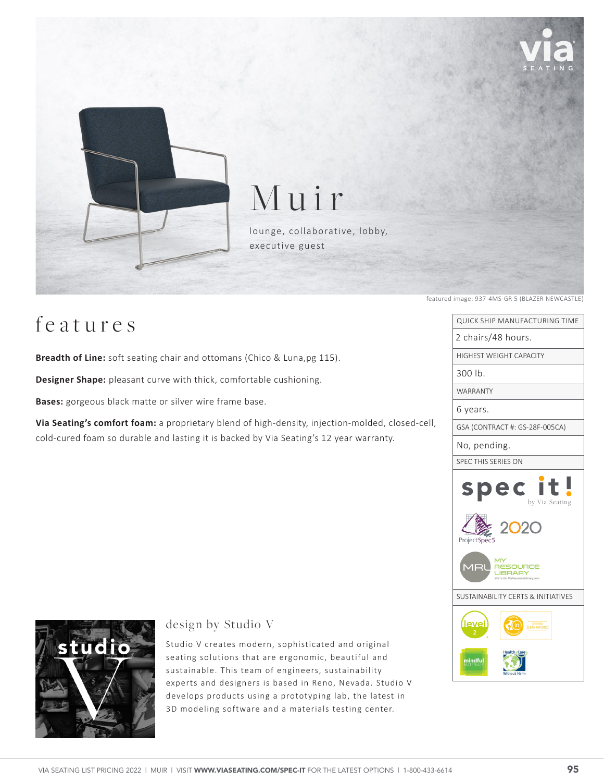



Muir

lounge, collaborative, lobby, executive guest

## features

**Breadth of Line:** soft seating chair and ottomans (Chico & Luna,pg 115).

**Designer Shape:** pleasant curve with thick, comfortable cushioning.

**Bases:** gorgeous black matte or silver wire frame base.

**Via Seating's comfort foam:** a proprietary blend of high-density, injection-molded, closed-cell, cold-cured foam so durable and lasting it is backed by Via Seating's 12 year warranty.

## featured image: 937-4MS-GR 5 (BLAZER NEWCASTLE)

QUICK SHIP MANUFACTURING TIME 2 chairs/48 hours.HIGHEST WEIGHT CAPACITY 300 lb. WARRANTY 6 years. GSA (CONTRACT #: GS-28F-005CA) No, pending. SPEC THIS SERIES ON spec it! RESOURCE **LIBRARY** SUSTAINABILITY CERTS & INITIATIVES عيرها



### design by Studio V

Studio V creates modern, sophisticated and original seating solutions that are ergonomic, beautiful and sustainable. This team of engineers, sustainability experts and designers is based in Reno, Nevada. Studio V develops products using a prototyping lab, the latest in 3D modeling software and a materials testing center.